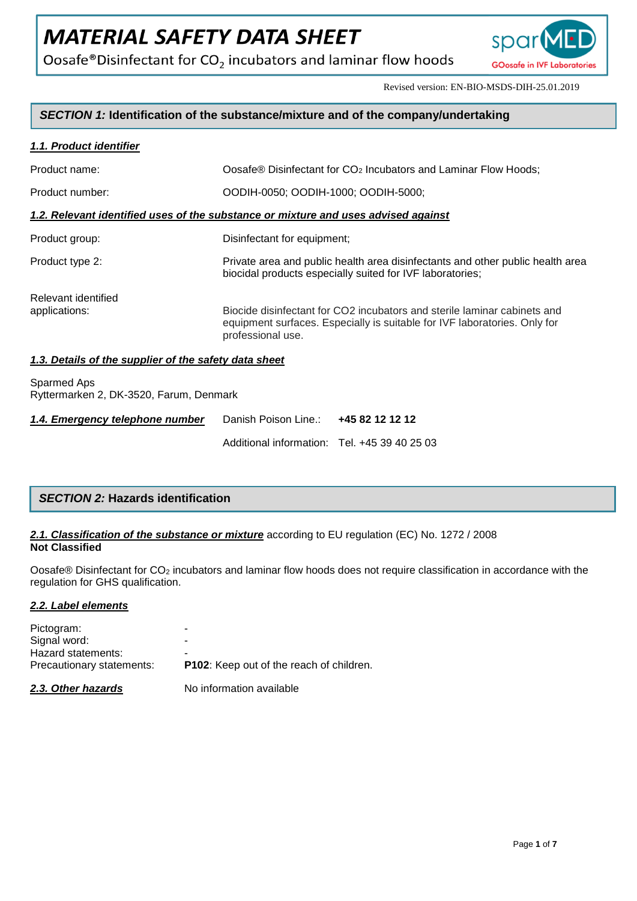Oosafe®Disinfectant for  $CO<sub>2</sub>$  incubators and laminar flow hoods



Revised version: EN-BIO-MSDS-DIH-25.01.2019

# *SECTION 1:* **Identification of the substance/mixture and of the company/undertaking**

## *1.1. Product identifier*

| Product name:                                                                      | Oosafe® Disinfectant for CO <sub>2</sub> Incubators and Laminar Flow Hoods;                                                                                                |  |
|------------------------------------------------------------------------------------|----------------------------------------------------------------------------------------------------------------------------------------------------------------------------|--|
| Product number:                                                                    | OODIH-0050: OODIH-1000: OODIH-5000:                                                                                                                                        |  |
| 1.2. Relevant identified uses of the substance or mixture and uses advised against |                                                                                                                                                                            |  |
| Product group:                                                                     | Disinfectant for equipment;                                                                                                                                                |  |
| Product type 2:                                                                    | Private area and public health area disinfectants and other public health area<br>biocidal products especially suited for IVF laboratories;                                |  |
| Relevant identified<br>applications:                                               | Biocide disinfectant for CO2 incubators and sterile laminar cabinets and<br>equipment surfaces. Especially is suitable for IVF laboratories. Only for<br>professional use. |  |

# *1.3. Details of the supplier of the safety data sheet*

Sparmed Aps Ryttermarken 2, DK-3520, Farum, Denmark

| 1.4. Emergency telephone number | Danish Poison Line.: 445 82 12 12 12         |  |
|---------------------------------|----------------------------------------------|--|
|                                 | Additional information: Tel. +45 39 40 25 03 |  |

| <b>SECTION 2: Hazards identification</b> |  |
|------------------------------------------|--|
|------------------------------------------|--|

# *2.1. Classification of the substance or mixture* according to EU regulation (EC) No. 1272 / 2008 **Not Classified**

Oosafe® Disinfectant for CO<sup>2</sup> incubators and laminar flow hoods does not require classification in accordance with the regulation for GHS qualification.

#### *2.2. Label elements*

| Hazard statements:<br>Precautionary statements: |                                                 |
|-------------------------------------------------|-------------------------------------------------|
|                                                 | <b>P102:</b> Keep out of the reach of children. |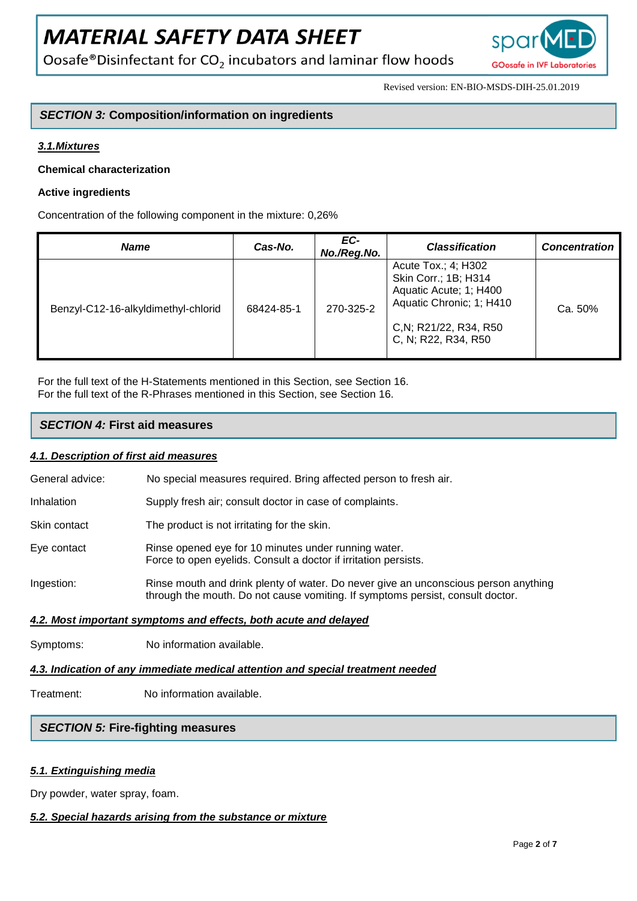Oosafe®Disinfectant for CO<sub>2</sub> incubators and laminar flow hoods



Revised version: EN-BIO-MSDS-DIH-25.01.2019

# *SECTION 3:* **Composition/information on ingredients**

# *3.1.Mixtures*

# **Chemical characterization**

## **Active ingredients**

Concentration of the following component in the mixture: 0,26%

| <b>Name</b>                         | Cas-No.    | EC-<br>No./Reg.No. | <b>Classification</b>                                                                                                                              | <b>Concentration</b> |
|-------------------------------------|------------|--------------------|----------------------------------------------------------------------------------------------------------------------------------------------------|----------------------|
| Benzyl-C12-16-alkyldimethyl-chlorid | 68424-85-1 | 270-325-2          | Acute Tox.; 4; H302<br>Skin Corr.; 1B; H314<br>Aquatic Acute; 1; H400<br>Aquatic Chronic; 1; H410<br>C, N; R21/22, R34, R50<br>C, N; R22, R34, R50 | Ca. 50%              |

For the full text of the H-Statements mentioned in this Section, see Section 16. For the full text of the R-Phrases mentioned in this Section, see Section 16.

# *SECTION 4:* **First aid measures**

#### *4.1. Description of first aid measures*

| General advice: | No special measures required. Bring affected person to fresh air. |
|-----------------|-------------------------------------------------------------------|
|-----------------|-------------------------------------------------------------------|

- Inhalation Supply fresh air; consult doctor in case of complaints.
- Skin contact The product is not irritating for the skin.
- Eye contact Rinse opened eye for 10 minutes under running water. Force to open eyelids. Consult a doctor if irritation persists.
- Ingestion: Rinse mouth and drink plenty of water. Do never give an unconscious person anything through the mouth. Do not cause vomiting. If symptoms persist, consult doctor.

#### *4.2. Most important symptoms and effects, both acute and delayed*

Symptoms: No information available.

# *4.3. Indication of any immediate medical attention and special treatment needed*

Treatment: No information available.

# *SECTION 5:* **Fire-fighting measures**

# *5.1. Extinguishing media*

Dry powder, water spray, foam.

# *5.2. Special hazards arising from the substance or mixture*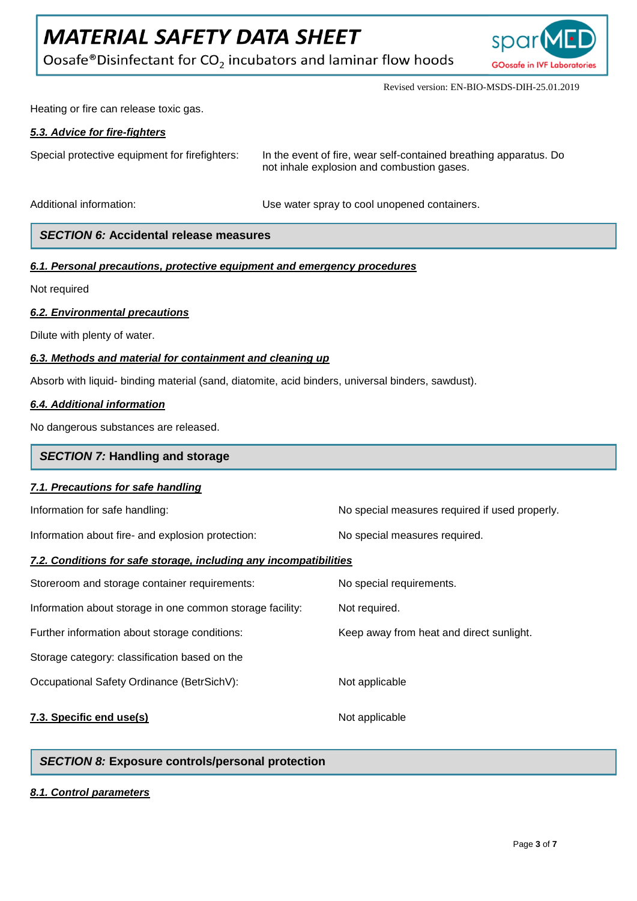Oosafe®Disinfectant for  $CO<sub>2</sub>$  incubators and laminar flow hoods



Revised version: EN-BIO-MSDS-DIH-25.01.2019

Heating or fire can release toxic gas.

# *5.3. Advice for fire-fighters*

Special protective equipment for firefighters: In the event of fire, wear self-contained breathing apparatus. Do not inhale explosion and combustion gases.

Additional information: <br>
Use water spray to cool unopened containers.

# *SECTION 6:* **Accidental release measures**

*6.1. Personal precautions, protective equipment and emergency procedures*

Not required

### *6.2. Environmental precautions*

Dilute with plenty of water.

# *6.3. Methods and material for containment and cleaning up*

Absorb with liquid- binding material (sand, diatomite, acid binders, universal binders, sawdust).

### *6.4. Additional information*

No dangerous substances are released.

| <b>SECTION 7: Handling and storage</b>                            |                                                |  |
|-------------------------------------------------------------------|------------------------------------------------|--|
| 7.1. Precautions for safe handling                                |                                                |  |
| Information for safe handling:                                    | No special measures required if used properly. |  |
| Information about fire- and explosion protection:                 | No special measures required.                  |  |
| 7.2. Conditions for safe storage, including any incompatibilities |                                                |  |
| Storeroom and storage container requirements:                     | No special requirements.                       |  |
| Information about storage in one common storage facility:         | Not required.                                  |  |
| Further information about storage conditions:                     | Keep away from heat and direct sunlight.       |  |
| Storage category: classification based on the                     |                                                |  |
| Occupational Safety Ordinance (BetrSichV):                        | Not applicable                                 |  |
| 7.3. Specific end use(s)                                          | Not applicable                                 |  |

# *SECTION 8:* **Exposure controls/personal protection**

# *8.1. Control parameters*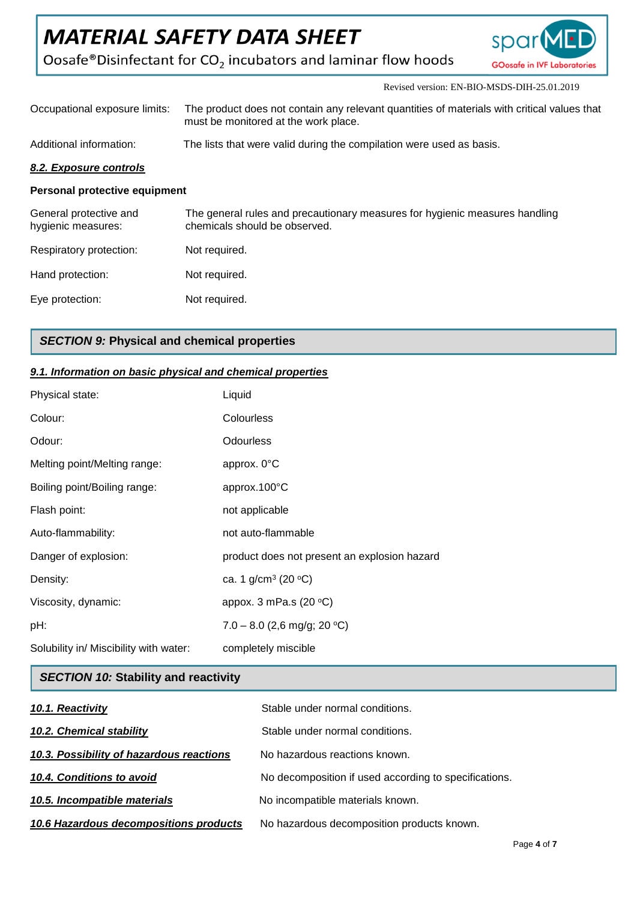$\text{Oosafe}^{\circledast}\text{Disinfectant}$  for  $\text{CO}_2$  incubators and laminar flow hoods



Revised version: EN-BIO-MSDS-DIH-25.01.2019

| Occupational exposure limits:                | The product does not contain any relevant quantities of materials with critical values that<br>must be monitored at the work place. |  |
|----------------------------------------------|-------------------------------------------------------------------------------------------------------------------------------------|--|
| Additional information:                      | The lists that were valid during the compilation were used as basis.                                                                |  |
| 8.2. Exposure controls                       |                                                                                                                                     |  |
| Personal protective equipment                |                                                                                                                                     |  |
| General protective and<br>hygienic measures: | The general rules and precautionary measures for hygienic measures handling<br>chemicals should be observed.                        |  |
| Respiratory protection:                      | Not required.                                                                                                                       |  |

Hand protection: Not required. Eye protection: Not required.

# *SECTION 9:* **Physical and chemical properties**

# *9.1. Information on basic physical and chemical properties*

| Physical state:                        | Liquid                                       |
|----------------------------------------|----------------------------------------------|
| Colour:                                | Colourless                                   |
| Odour:                                 | <b>Odourless</b>                             |
| Melting point/Melting range:           | approx. 0°C                                  |
| Boiling point/Boiling range:           | approx.100°C                                 |
| Flash point:                           | not applicable                               |
| Auto-flammability:                     | not auto-flammable                           |
| Danger of explosion:                   | product does not present an explosion hazard |
| Density:                               | ca. 1 $g/cm^3$ (20 °C)                       |
| Viscosity, dynamic:                    | appox. 3 mPa.s $(20 °C)$                     |
| pH:                                    | $7.0 - 8.0$ (2,6 mg/g; 20 °C)                |
| Solubility in/ Miscibility with water: | completely miscible                          |

# *SECTION 10:* **Stability and reactivity**

| 10.1. Reactivity                         | Stable under normal conditions.                       |
|------------------------------------------|-------------------------------------------------------|
| 10.2. Chemical stability                 | Stable under normal conditions.                       |
| 10.3. Possibility of hazardous reactions | No hazardous reactions known.                         |
| 10.4. Conditions to avoid                | No decomposition if used according to specifications. |
| 10.5. Incompatible materials             | No incompatible materials known.                      |
| 10.6 Hazardous decompositions products   | No hazardous decomposition products known.            |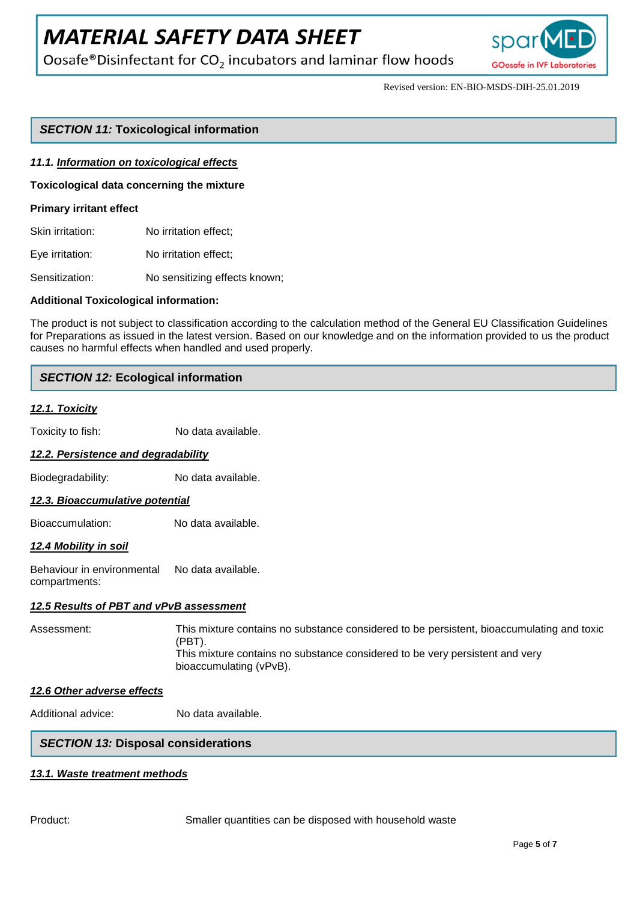Oosafe®Disinfectant for  $CO<sub>2</sub>$  incubators and laminar flow hoods



Revised version: EN-BIO-MSDS-DIH-25.01.2019

# *SECTION 11:* **Toxicological information**

#### *11.1. Information on toxicological effects*

**Toxicological data concerning the mixture**

#### **Primary irritant effect**

Skin irritation: No irritation effect:

Eye irritation: No irritation effect;

Sensitization: No sensitizing effects known;

#### **Additional Toxicological information:**

The product is not subject to classification according to the calculation method of the General EU Classification Guidelines for Preparations as issued in the latest version. Based on our knowledge and on the information provided to us the product causes no harmful effects when handled and used properly.

### *SECTION 12:* **Ecological information**

#### *12.1. Toxicity*

Toxicity to fish: No data available.

#### *12.2. Persistence and degradability*

Biodegradability: No data available.

#### *12.3. Bioaccumulative potential*

Bioaccumulation: No data available.

#### *12.4 Mobility in soil*

Behaviour in environmental No data available. compartments:

#### *12.5 Results of PBT and vPvB assessment*

Assessment: This mixture contains no substance considered to be persistent, bioaccumulating and toxic (PBT). This mixture contains no substance considered to be very persistent and very bioaccumulating (vPvB).

#### *12.6 Other adverse effects*

Additional advice: No data available.

# *SECTION 13:* **Disposal considerations**

#### *13.1. Waste treatment methods*

Product: Smaller quantities can be disposed with household waste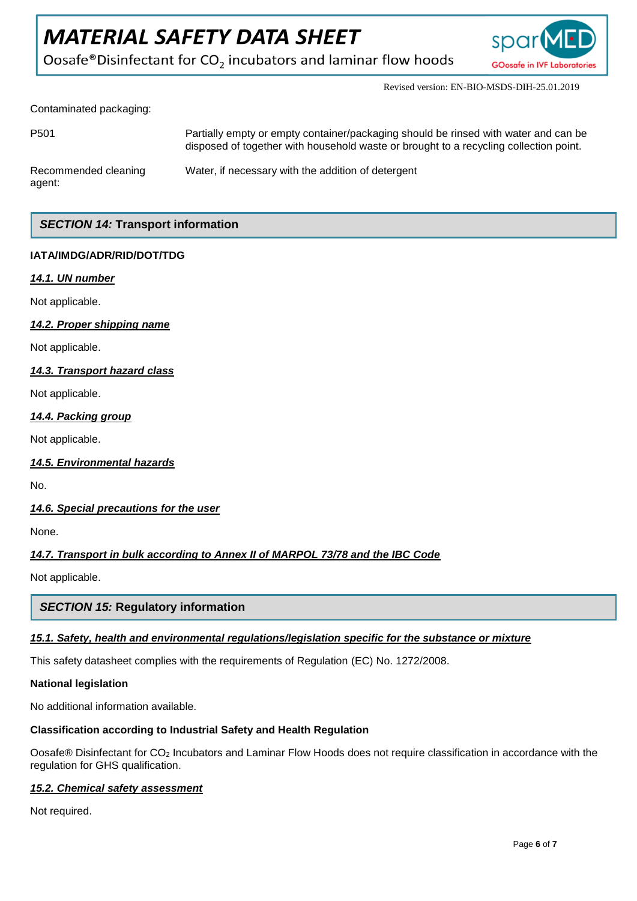Oosafe®Disinfectant for CO<sub>2</sub> incubators and laminar flow hoods



Revised version: EN-BIO-MSDS-DIH-25.01.2019

Contaminated packaging:

| P <sub>501</sub>               | Partially empty or empty container/packaging should be rinsed with water and can be<br>disposed of together with household waste or brought to a recycling collection point. |
|--------------------------------|------------------------------------------------------------------------------------------------------------------------------------------------------------------------------|
| Recommended cleaning<br>agent: | Water, if necessary with the addition of detergent                                                                                                                           |

# *SECTION 14:* **Transport information**

# **IATA/IMDG/ADR/RID/DOT/TDG**

# *14.1. UN number*

Not applicable.

### *14.2. Proper shipping name*

Not applicable.

### *14.3. Transport hazard class*

Not applicable.

### *14.4. Packing group*

Not applicable.

#### *14.5. Environmental hazards*

No.

# *14.6. Special precautions for the user*

None.

# *14.7. Transport in bulk according to Annex II of MARPOL 73/78 and the IBC Code*

Not applicable.

# *SECTION 15:* **Regulatory information**

# *15.1. Safety, health and environmental regulations/legislation specific for the substance or mixture*

This safety datasheet complies with the requirements of Regulation (EC) No. 1272/2008.

#### **National legislation**

No additional information available.

#### **Classification according to Industrial Safety and Health Regulation**

Oosafe® Disinfectant for CO<sup>2</sup> Incubators and Laminar Flow Hoods does not require classification in accordance with the regulation for GHS qualification.

# *15.2. Chemical safety assessment*

Not required.